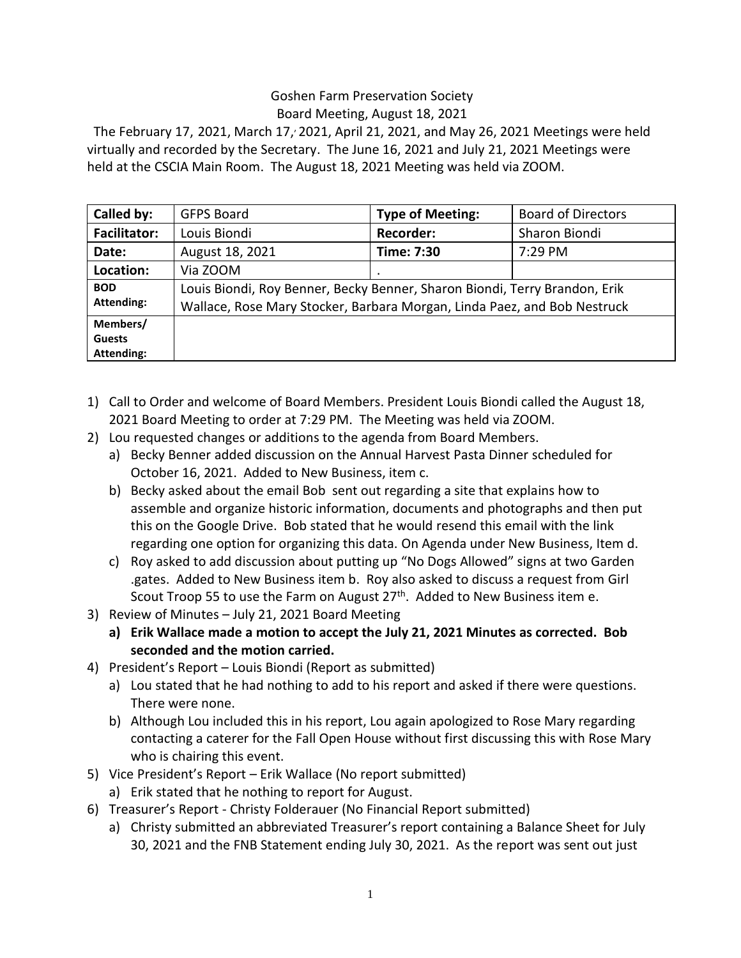## Goshen Farm Preservation Society Board Meeting, August 18, 2021

The February 17, 2021, March 17, 2021, April 21, 2021, and May 26, 2021 Meetings were held virtually and recorded by the Secretary. The June 16, 2021 and July 21, 2021 Meetings were held at the CSCIA Main Room. The August 18, 2021 Meeting was held via ZOOM.

| Called by:                              | <b>GFPS Board</b>                                                                                                                                      | <b>Type of Meeting:</b> | <b>Board of Directors</b> |
|-----------------------------------------|--------------------------------------------------------------------------------------------------------------------------------------------------------|-------------------------|---------------------------|
| <b>Facilitator:</b>                     | Louis Biondi                                                                                                                                           | <b>Recorder:</b>        | Sharon Biondi             |
| Date:                                   | August 18, 2021                                                                                                                                        | Time: 7:30              | 7:29 PM                   |
| Location:                               | Via ZOOM                                                                                                                                               | ٠                       |                           |
| <b>BOD</b><br><b>Attending:</b>         | Louis Biondi, Roy Benner, Becky Benner, Sharon Biondi, Terry Brandon, Erik<br>Wallace, Rose Mary Stocker, Barbara Morgan, Linda Paez, and Bob Nestruck |                         |                           |
| Members/<br><b>Guests</b><br>Attending: |                                                                                                                                                        |                         |                           |

- 1) Call to Order and welcome of Board Members. President Louis Biondi called the August 18, 2021 Board Meeting to order at 7:29 PM. The Meeting was held via ZOOM.
- 2) Lou requested changes or additions to the agenda from Board Members.
	- a) Becky Benner added discussion on the Annual Harvest Pasta Dinner scheduled for October 16, 2021. Added to New Business, item c.
	- b) Becky asked about the email Bob sent out regarding a site that explains how to assemble and organize historic information, documents and photographs and then put this on the Google Drive. Bob stated that he would resend this email with the link regarding one option for organizing this data. On Agenda under New Business, Item d.
	- c) Roy asked to add discussion about putting up "No Dogs Allowed" signs at two Garden .gates. Added to New Business item b. Roy also asked to discuss a request from Girl Scout Troop 55 to use the Farm on August 27<sup>th</sup>. Added to New Business item e.
- 3) Review of Minutes July 21, 2021 Board Meeting
	- **a) Erik Wallace made a motion to accept the July 21, 2021 Minutes as corrected. Bob seconded and the motion carried.**
- 4) President's Report Louis Biondi (Report as submitted)
	- a) Lou stated that he had nothing to add to his report and asked if there were questions. There were none.
	- b) Although Lou included this in his report, Lou again apologized to Rose Mary regarding contacting a caterer for the Fall Open House without first discussing this with Rose Mary who is chairing this event.
- 5) Vice President's Report Erik Wallace (No report submitted)
	- a) Erik stated that he nothing to report for August.
- 6) Treasurer's Report Christy Folderauer (No Financial Report submitted)
	- a) Christy submitted an abbreviated Treasurer's report containing a Balance Sheet for July 30, 2021 and the FNB Statement ending July 30, 2021. As the report was sent out just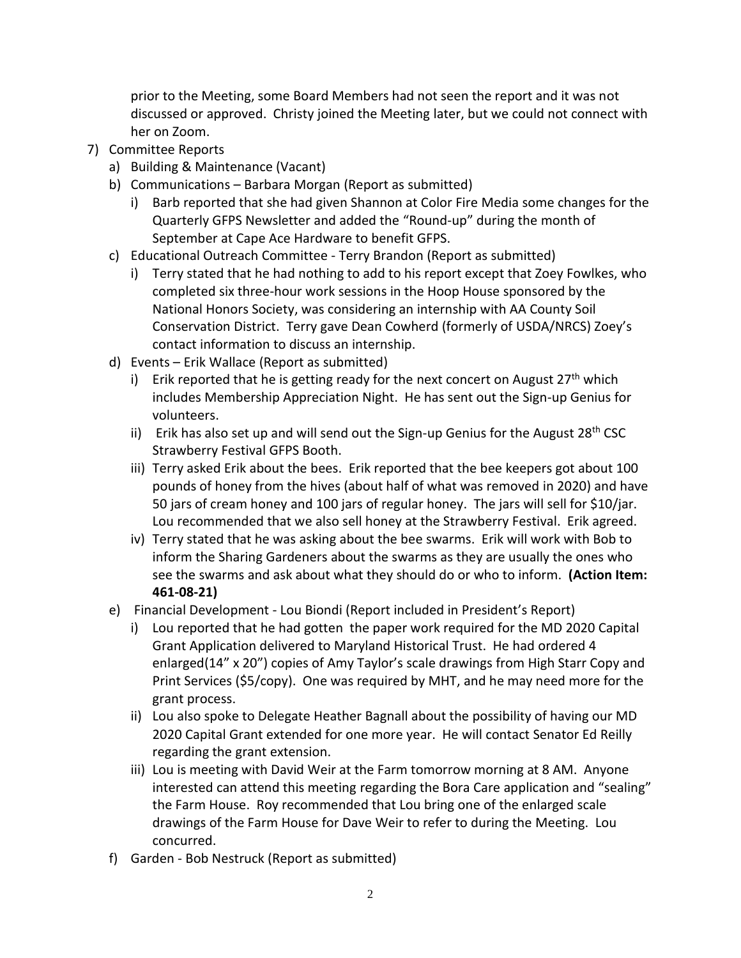prior to the Meeting, some Board Members had not seen the report and it was not discussed or approved. Christy joined the Meeting later, but we could not connect with her on Zoom.

- 7) Committee Reports
	- a) Building & Maintenance (Vacant)
	- b) Communications Barbara Morgan (Report as submitted)
		- i) Barb reported that she had given Shannon at Color Fire Media some changes for the Quarterly GFPS Newsletter and added the "Round-up" during the month of September at Cape Ace Hardware to benefit GFPS.
	- c) Educational Outreach Committee Terry Brandon (Report as submitted)
		- i) Terry stated that he had nothing to add to his report except that Zoey Fowlkes, who completed six three-hour work sessions in the Hoop House sponsored by the National Honors Society, was considering an internship with AA County Soil Conservation District. Terry gave Dean Cowherd (formerly of USDA/NRCS) Zoey's contact information to discuss an internship.
	- d) Events Erik Wallace (Report as submitted)
		- i) Erik reported that he is getting ready for the next concert on August  $27<sup>th</sup>$  which includes Membership Appreciation Night. He has sent out the Sign-up Genius for volunteers.
		- ii) Erik has also set up and will send out the Sign-up Genius for the August  $28<sup>th</sup> CSC$ Strawberry Festival GFPS Booth.
		- iii) Terry asked Erik about the bees. Erik reported that the bee keepers got about 100 pounds of honey from the hives (about half of what was removed in 2020) and have 50 jars of cream honey and 100 jars of regular honey. The jars will sell for \$10/jar. Lou recommended that we also sell honey at the Strawberry Festival. Erik agreed.
		- iv) Terry stated that he was asking about the bee swarms. Erik will work with Bob to inform the Sharing Gardeners about the swarms as they are usually the ones who see the swarms and ask about what they should do or who to inform. **(Action Item: 461-08-21)**
	- e) Financial Development Lou Biondi (Report included in President's Report)
		- i) Lou reported that he had gotten the paper work required for the MD 2020 Capital Grant Application delivered to Maryland Historical Trust. He had ordered 4 enlarged(14" x 20") copies of Amy Taylor's scale drawings from High Starr Copy and Print Services (\$5/copy). One was required by MHT, and he may need more for the grant process.
		- ii) Lou also spoke to Delegate Heather Bagnall about the possibility of having our MD 2020 Capital Grant extended for one more year. He will contact Senator Ed Reilly regarding the grant extension.
		- iii) Lou is meeting with David Weir at the Farm tomorrow morning at 8 AM. Anyone interested can attend this meeting regarding the Bora Care application and "sealing" the Farm House. Roy recommended that Lou bring one of the enlarged scale drawings of the Farm House for Dave Weir to refer to during the Meeting. Lou concurred.
	- f) Garden Bob Nestruck (Report as submitted)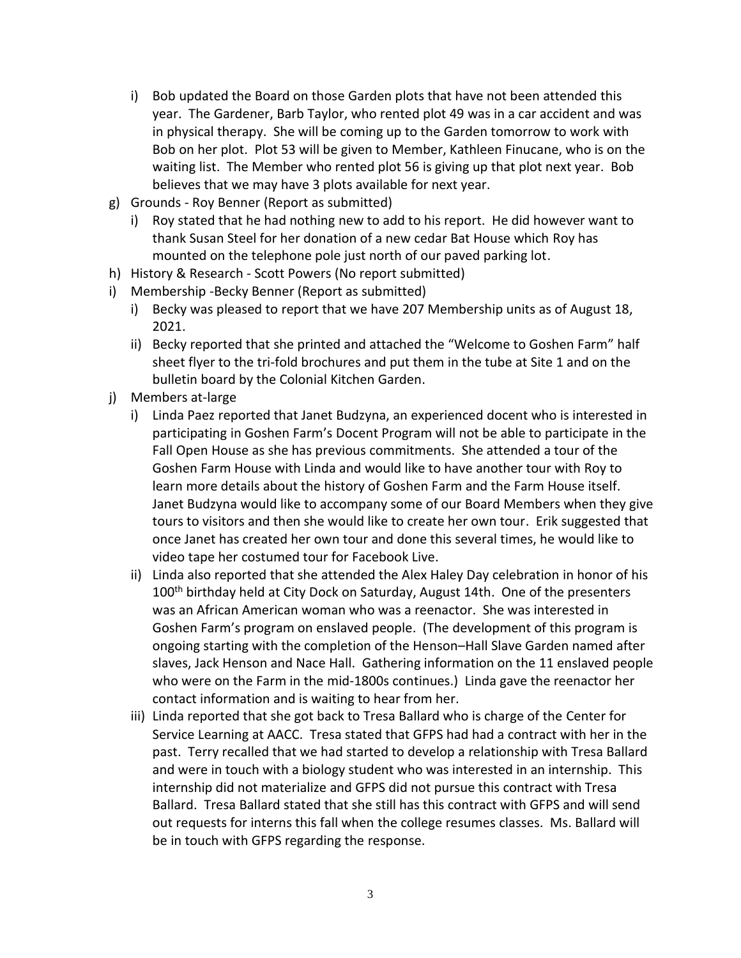- i) Bob updated the Board on those Garden plots that have not been attended this year. The Gardener, Barb Taylor, who rented plot 49 was in a car accident and was in physical therapy. She will be coming up to the Garden tomorrow to work with Bob on her plot. Plot 53 will be given to Member, Kathleen Finucane, who is on the waiting list. The Member who rented plot 56 is giving up that plot next year. Bob believes that we may have 3 plots available for next year.
- g) Grounds Roy Benner (Report as submitted)
	- i) Roy stated that he had nothing new to add to his report. He did however want to thank Susan Steel for her donation of a new cedar Bat House which Roy has mounted on the telephone pole just north of our paved parking lot.
- h) History & Research Scott Powers (No report submitted)
- i) Membership -Becky Benner (Report as submitted)
	- i) Becky was pleased to report that we have 207 Membership units as of August 18, 2021.
	- ii) Becky reported that she printed and attached the "Welcome to Goshen Farm" half sheet flyer to the tri-fold brochures and put them in the tube at Site 1 and on the bulletin board by the Colonial Kitchen Garden.
- j) Members at-large
	- i) Linda Paez reported that Janet Budzyna, an experienced docent who is interested in participating in Goshen Farm's Docent Program will not be able to participate in the Fall Open House as she has previous commitments. She attended a tour of the Goshen Farm House with Linda and would like to have another tour with Roy to learn more details about the history of Goshen Farm and the Farm House itself. Janet Budzyna would like to accompany some of our Board Members when they give tours to visitors and then she would like to create her own tour. Erik suggested that once Janet has created her own tour and done this several times, he would like to video tape her costumed tour for Facebook Live.
	- ii) Linda also reported that she attended the Alex Haley Day celebration in honor of his 100<sup>th</sup> birthday held at City Dock on Saturday, August 14th. One of the presenters was an African American woman who was a reenactor. She was interested in Goshen Farm's program on enslaved people. (The development of this program is ongoing starting with the completion of the Henson–Hall Slave Garden named after slaves, Jack Henson and Nace Hall. Gathering information on the 11 enslaved people who were on the Farm in the mid-1800s continues.) Linda gave the reenactor her contact information and is waiting to hear from her.
	- iii) Linda reported that she got back to Tresa Ballard who is charge of the Center for Service Learning at AACC. Tresa stated that GFPS had had a contract with her in the past. Terry recalled that we had started to develop a relationship with Tresa Ballard and were in touch with a biology student who was interested in an internship. This internship did not materialize and GFPS did not pursue this contract with Tresa Ballard. Tresa Ballard stated that she still has this contract with GFPS and will send out requests for interns this fall when the college resumes classes. Ms. Ballard will be in touch with GFPS regarding the response.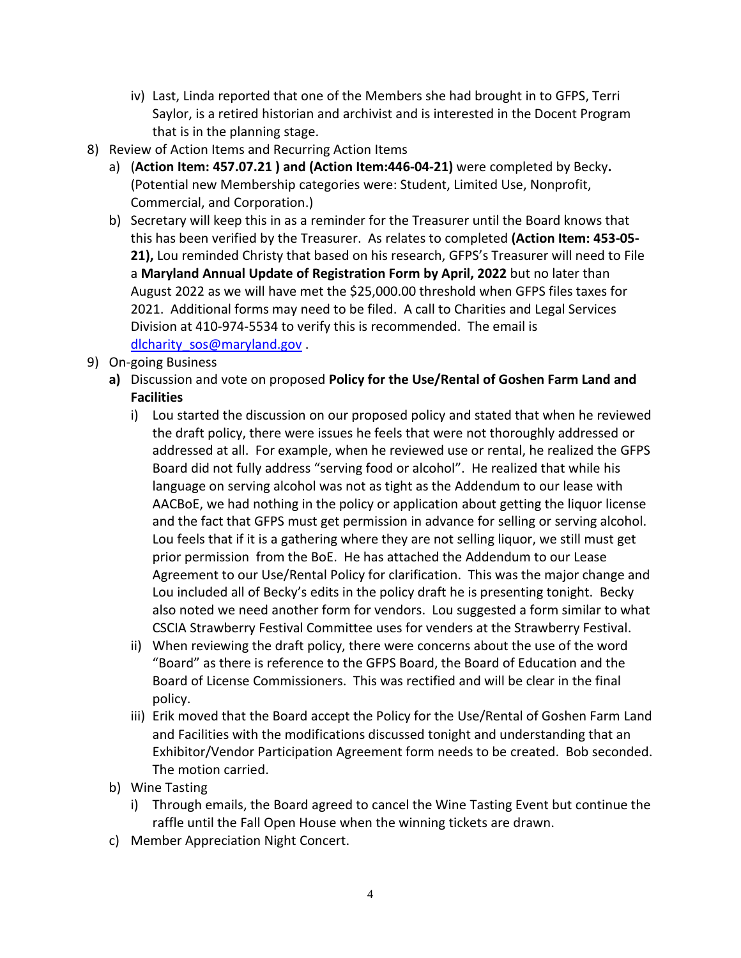- iv) Last, Linda reported that one of the Members she had brought in to GFPS, Terri Saylor, is a retired historian and archivist and is interested in the Docent Program that is in the planning stage.
- 8) Review of Action Items and Recurring Action Items
	- a) (**Action Item: 457.07.21 ) and (Action Item:446-04-21)** were completed by Becky**.** (Potential new Membership categories were: Student, Limited Use, Nonprofit, Commercial, and Corporation.)
	- b) Secretary will keep this in as a reminder for the Treasurer until the Board knows that this has been verified by the Treasurer. As relates to completed **(Action Item: 453-05- 21),** Lou reminded Christy that based on his research, GFPS's Treasurer will need to File a **Maryland Annual Update of Registration Form by April, 2022** but no later than August 2022 as we will have met the \$25,000.00 threshold when GFPS files taxes for 2021. Additional forms may need to be filed. A call to Charities and Legal Services Division at 410-974-5534 to verify this is recommended. The email is [dlcharity\\_sos@maryland.gov](mailto:dlcharity_sos@maryland.gov).
- 9) On-going Business
	- **a)** Discussion and vote on proposed **Policy for the Use/Rental of Goshen Farm Land and Facilities**
		- i) Lou started the discussion on our proposed policy and stated that when he reviewed the draft policy, there were issues he feels that were not thoroughly addressed or addressed at all. For example, when he reviewed use or rental, he realized the GFPS Board did not fully address "serving food or alcohol". He realized that while his language on serving alcohol was not as tight as the Addendum to our lease with AACBoE, we had nothing in the policy or application about getting the liquor license and the fact that GFPS must get permission in advance for selling or serving alcohol. Lou feels that if it is a gathering where they are not selling liquor, we still must get prior permission from the BoE. He has attached the Addendum to our Lease Agreement to our Use/Rental Policy for clarification. This was the major change and Lou included all of Becky's edits in the policy draft he is presenting tonight. Becky also noted we need another form for vendors. Lou suggested a form similar to what CSCIA Strawberry Festival Committee uses for venders at the Strawberry Festival.
		- ii) When reviewing the draft policy, there were concerns about the use of the word "Board" as there is reference to the GFPS Board, the Board of Education and the Board of License Commissioners. This was rectified and will be clear in the final policy.
		- iii) Erik moved that the Board accept the Policy for the Use/Rental of Goshen Farm Land and Facilities with the modifications discussed tonight and understanding that an Exhibitor/Vendor Participation Agreement form needs to be created. Bob seconded. The motion carried.
	- b) Wine Tasting
		- i) Through emails, the Board agreed to cancel the Wine Tasting Event but continue the raffle until the Fall Open House when the winning tickets are drawn.
	- c) Member Appreciation Night Concert.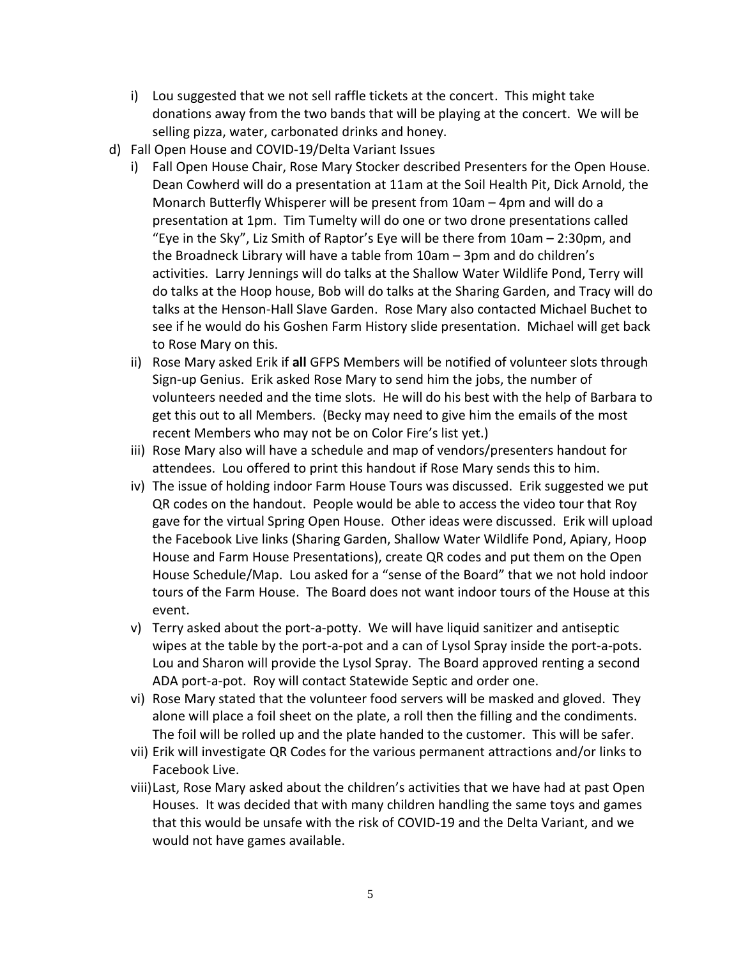- i) Lou suggested that we not sell raffle tickets at the concert. This might take donations away from the two bands that will be playing at the concert. We will be selling pizza, water, carbonated drinks and honey.
- d) Fall Open House and COVID-19/Delta Variant Issues
	- i) Fall Open House Chair, Rose Mary Stocker described Presenters for the Open House. Dean Cowherd will do a presentation at 11am at the Soil Health Pit, Dick Arnold, the Monarch Butterfly Whisperer will be present from 10am – 4pm and will do a presentation at 1pm. Tim Tumelty will do one or two drone presentations called "Eye in the Sky", Liz Smith of Raptor's Eye will be there from 10am – 2:30pm, and the Broadneck Library will have a table from 10am – 3pm and do children's activities. Larry Jennings will do talks at the Shallow Water Wildlife Pond, Terry will do talks at the Hoop house, Bob will do talks at the Sharing Garden, and Tracy will do talks at the Henson-Hall Slave Garden. Rose Mary also contacted Michael Buchet to see if he would do his Goshen Farm History slide presentation. Michael will get back to Rose Mary on this.
	- ii) Rose Mary asked Erik if **all** GFPS Members will be notified of volunteer slots through Sign-up Genius. Erik asked Rose Mary to send him the jobs, the number of volunteers needed and the time slots. He will do his best with the help of Barbara to get this out to all Members. (Becky may need to give him the emails of the most recent Members who may not be on Color Fire's list yet.)
	- iii) Rose Mary also will have a schedule and map of vendors/presenters handout for attendees. Lou offered to print this handout if Rose Mary sends this to him.
	- iv) The issue of holding indoor Farm House Tours was discussed. Erik suggested we put QR codes on the handout. People would be able to access the video tour that Roy gave for the virtual Spring Open House. Other ideas were discussed. Erik will upload the Facebook Live links (Sharing Garden, Shallow Water Wildlife Pond, Apiary, Hoop House and Farm House Presentations), create QR codes and put them on the Open House Schedule/Map. Lou asked for a "sense of the Board" that we not hold indoor tours of the Farm House. The Board does not want indoor tours of the House at this event.
	- v) Terry asked about the port-a-potty. We will have liquid sanitizer and antiseptic wipes at the table by the port-a-pot and a can of Lysol Spray inside the port-a-pots. Lou and Sharon will provide the Lysol Spray. The Board approved renting a second ADA port-a-pot. Roy will contact Statewide Septic and order one.
	- vi) Rose Mary stated that the volunteer food servers will be masked and gloved. They alone will place a foil sheet on the plate, a roll then the filling and the condiments. The foil will be rolled up and the plate handed to the customer. This will be safer.
	- vii) Erik will investigate QR Codes for the various permanent attractions and/or links to Facebook Live.
	- viii)Last, Rose Mary asked about the children's activities that we have had at past Open Houses. It was decided that with many children handling the same toys and games that this would be unsafe with the risk of COVID-19 and the Delta Variant, and we would not have games available.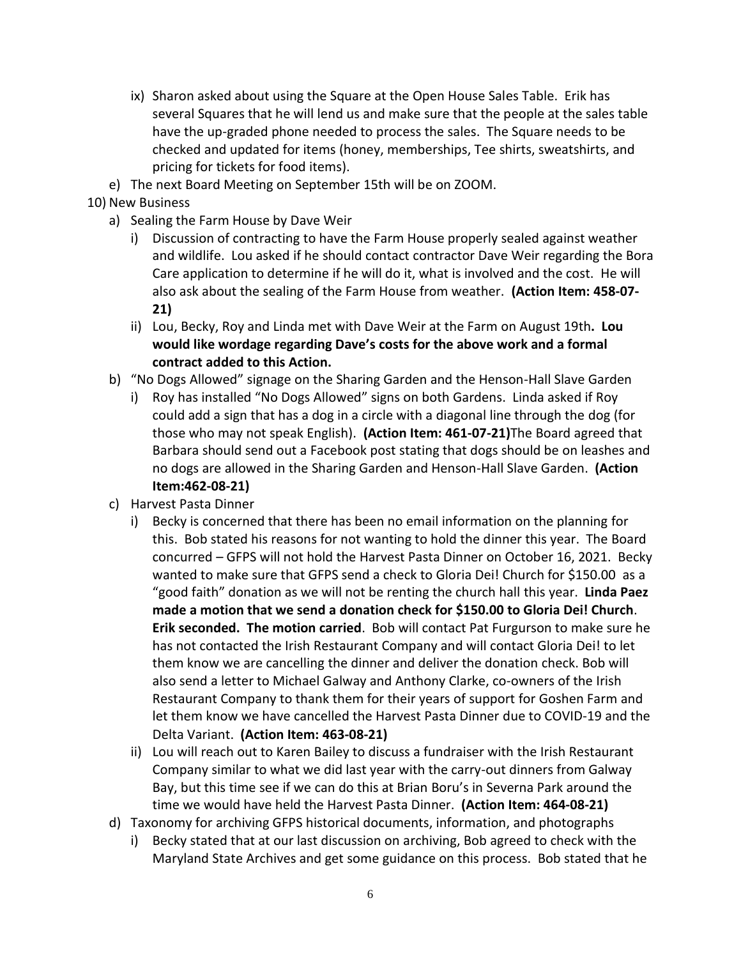- ix) Sharon asked about using the Square at the Open House Sales Table. Erik has several Squares that he will lend us and make sure that the people at the sales table have the up-graded phone needed to process the sales. The Square needs to be checked and updated for items (honey, memberships, Tee shirts, sweatshirts, and pricing for tickets for food items).
- e) The next Board Meeting on September 15th will be on ZOOM.
- 10) New Business
	- a) Sealing the Farm House by Dave Weir
		- i) Discussion of contracting to have the Farm House properly sealed against weather and wildlife. Lou asked if he should contact contractor Dave Weir regarding the Bora Care application to determine if he will do it, what is involved and the cost. He will also ask about the sealing of the Farm House from weather. **(Action Item: 458-07- 21)**
		- ii) Lou, Becky, Roy and Linda met with Dave Weir at the Farm on August 19th**. Lou would like wordage regarding Dave's costs for the above work and a formal contract added to this Action.**
	- b) "No Dogs Allowed" signage on the Sharing Garden and the Henson-Hall Slave Garden
		- i) Roy has installed "No Dogs Allowed" signs on both Gardens. Linda asked if Roy could add a sign that has a dog in a circle with a diagonal line through the dog (for those who may not speak English). **(Action Item: 461-07-21)**The Board agreed that Barbara should send out a Facebook post stating that dogs should be on leashes and no dogs are allowed in the Sharing Garden and Henson-Hall Slave Garden. **(Action Item:462-08-21)**
	- c) Harvest Pasta Dinner
		- i) Becky is concerned that there has been no email information on the planning for this. Bob stated his reasons for not wanting to hold the dinner this year. The Board concurred – GFPS will not hold the Harvest Pasta Dinner on October 16, 2021. Becky wanted to make sure that GFPS send a check to Gloria Dei! Church for \$150.00 as a "good faith" donation as we will not be renting the church hall this year. **Linda Paez made a motion that we send a donation check for \$150.00 to Gloria Dei! Church**. **Erik seconded. The motion carried**. Bob will contact Pat Furgurson to make sure he has not contacted the Irish Restaurant Company and will contact Gloria Dei! to let them know we are cancelling the dinner and deliver the donation check. Bob will also send a letter to Michael Galway and Anthony Clarke, co-owners of the Irish Restaurant Company to thank them for their years of support for Goshen Farm and let them know we have cancelled the Harvest Pasta Dinner due to COVID-19 and the Delta Variant. **(Action Item: 463-08-21)**
		- ii) Lou will reach out to Karen Bailey to discuss a fundraiser with the Irish Restaurant Company similar to what we did last year with the carry-out dinners from Galway Bay, but this time see if we can do this at Brian Boru's in Severna Park around the time we would have held the Harvest Pasta Dinner. **(Action Item: 464-08-21)**
	- d) Taxonomy for archiving GFPS historical documents, information, and photographs
		- i) Becky stated that at our last discussion on archiving, Bob agreed to check with the Maryland State Archives and get some guidance on this process. Bob stated that he